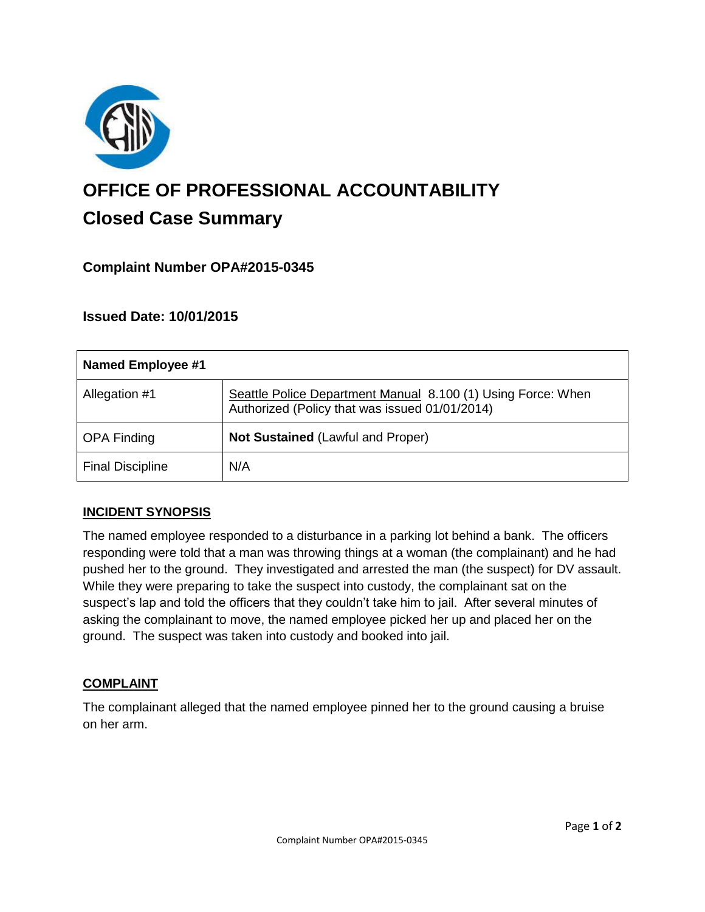

# **OFFICE OF PROFESSIONAL ACCOUNTABILITY Closed Case Summary**

# **Complaint Number OPA#2015-0345**

## **Issued Date: 10/01/2015**

| <b>Named Employee #1</b> |                                                                                                                |
|--------------------------|----------------------------------------------------------------------------------------------------------------|
| Allegation #1            | Seattle Police Department Manual 8.100 (1) Using Force: When<br>Authorized (Policy that was issued 01/01/2014) |
| <b>OPA Finding</b>       | <b>Not Sustained (Lawful and Proper)</b>                                                                       |
| <b>Final Discipline</b>  | N/A                                                                                                            |

#### **INCIDENT SYNOPSIS**

The named employee responded to a disturbance in a parking lot behind a bank. The officers responding were told that a man was throwing things at a woman (the complainant) and he had pushed her to the ground. They investigated and arrested the man (the suspect) for DV assault. While they were preparing to take the suspect into custody, the complainant sat on the suspect's lap and told the officers that they couldn't take him to jail. After several minutes of asking the complainant to move, the named employee picked her up and placed her on the ground. The suspect was taken into custody and booked into jail.

#### **COMPLAINT**

The complainant alleged that the named employee pinned her to the ground causing a bruise on her arm.